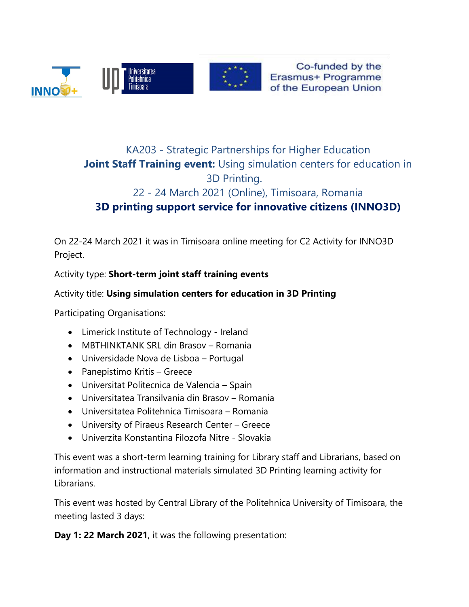

Co-funded by the Erasmus+ Programme of the European Union

# KA203 - Strategic Partnerships for Higher Education **Joint Staff Training event:** Using simulation centers for education in 3D Printing.

# 22 - 24 March 2021 (Online), Timisoara, Romania **3D printing support service for innovative citizens (INNO3D)**

On 22-24 March 2021 it was in Timisoara online meeting for C2 Activity for INNO3D Project.

Activity type: **Short-term joint staff training events**

# Activity title: **Using simulation centers for education in 3D Printing**

Participating Organisations:

- Limerick Institute of Technology Ireland
- MBTHINKTANK SRL din Brasov Romania
- Universidade Nova de Lisboa Portugal
- Panepistimo Kritis Greece
- Universitat Politecnica de Valencia Spain
- Universitatea Transilvania din Brasov Romania
- Universitatea Politehnica Timisoara Romania
- University of Piraeus Research Center Greece
- Univerzita Konstantina Filozofa Nitre Slovakia

This event was a short-term learning training for Library staff and Librarians, based on information and instructional materials simulated 3D Printing learning activity for Librarians.

This event was hosted by Central Library of the Politehnica University of Timisoara, the meeting lasted 3 days:

**Day 1: 22 March 2021**, it was the following presentation: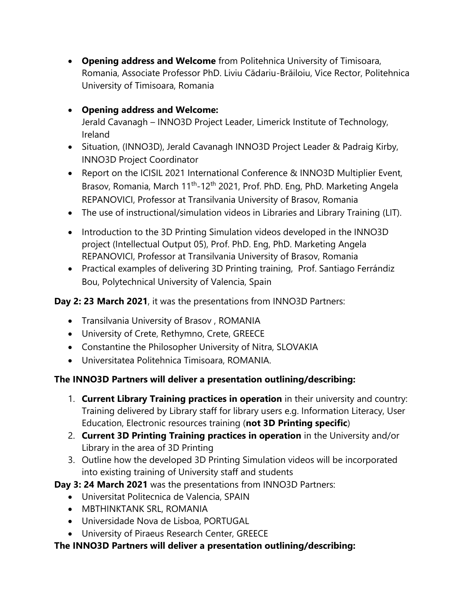• **Opening address and Welcome** from Politehnica University of Timisoara, Romania, Associate Professor PhD. Liviu Cădariu-Brăiloiu, Vice Rector, Politehnica University of Timisoara, Romania

# • **Opening address and Welcome:**

Jerald Cavanagh – INNO3D Project Leader, Limerick Institute of Technology, Ireland

- Situation, (INNO3D), Jerald Cavanagh INNO3D Project Leader & Padraig Kirby, INNO3D Project Coordinator
- Report on the ICISIL 2021 International Conference & INNO3D Multiplier Event, Brasov, Romania, March 11<sup>th</sup>-12<sup>th</sup> 2021, Prof. PhD. Eng, PhD. Marketing Angela REPANOVICI, Professor at Transilvania University of Brasov, Romania
- The use of instructional/simulation videos in Libraries and Library Training (LIT).
- Introduction to the 3D Printing Simulation videos developed in the INNO3D project (Intellectual Output 05), Prof. PhD. Eng, PhD. Marketing Angela REPANOVICI, Professor at Transilvania University of Brasov, Romania
- Practical examples of delivering 3D Printing training, Prof. Santiago Ferrándiz Bou, Polytechnical University of Valencia, Spain

#### **Day 2: 23 March 2021**, it was the presentations from INNO3D Partners:

- Transilvania University of Brasov , ROMANIA
- University of Crete, Rethymno, Crete, GREECE
- Constantine the Philosopher University of Nitra, SLOVAKIA
- Universitatea Politehnica Timisoara, ROMANIA.

#### **The INNO3D Partners will deliver a presentation outlining/describing:**

- 1. **Current Library Training practices in operation** in their university and country: Training delivered by Library staff for library users e.g. Information Literacy, User Education, Electronic resources training (**not 3D Printing specific**)
- 2. **Current 3D Printing Training practices in operation** in the University and/or Library in the area of 3D Printing
- 3. Outline how the developed 3D Printing Simulation videos will be incorporated into existing training of University staff and students

**Day 3: 24 March 2021** was the presentations from INNO3D Partners:

- Universitat Politecnica de Valencia, SPAIN
- MBTHINKTANK SRL, ROMANIA
- Universidade Nova de Lisboa, PORTUGAL
- University of Piraeus Research Center, GREECE

#### **The INNO3D Partners will deliver a presentation outlining/describing:**